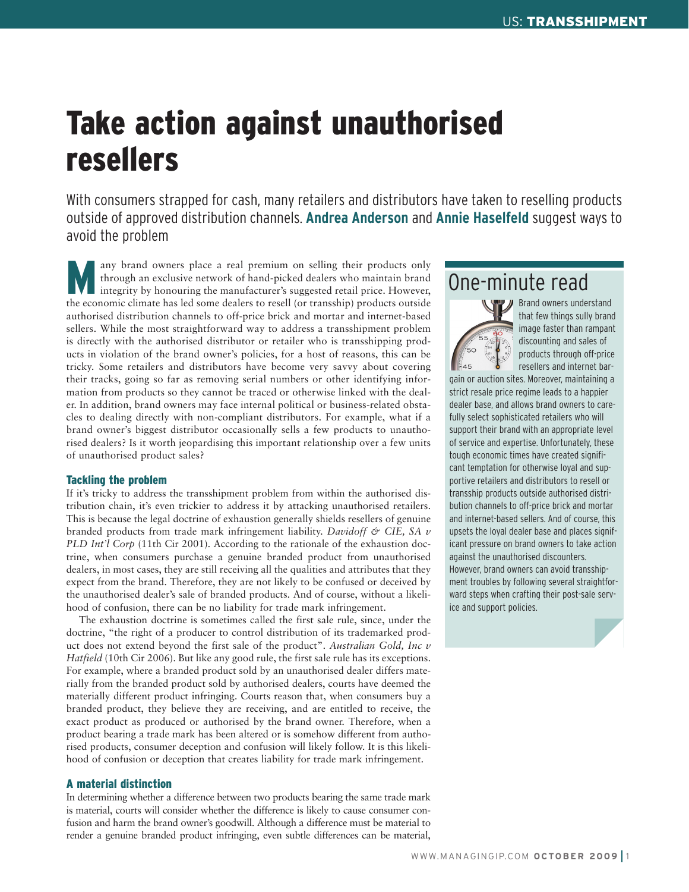# Take action against unauthorised resellers

With consumers strapped for cash, many retailers and distributors have taken to reselling products outside of approved distribution channels. **Andrea Anderson** and **Annie Haselfeld** suggest ways to avoid the problem

Many brand owners place a real premium on selling their products only<br>through an exclusive network of hand-picked dealers who maintain brand<br>integrity by honouring the manufacturer's suggested retail price. However,<br>the sc through an exclusive network of hand-picked dealers who maintain brand integrity by honouring the manufacturer's suggested retail price. However, the economic climate has led some dealers to resell (or transship) products outside authorised distribution channels to off-price brick and mortar and internet-based sellers. While the most straightforward way to address a transshipment problem is directly with the authorised distributor or retailer who is transshipping products in violation of the brand owner's policies, for a host of reasons, this can be tricky. Some retailers and distributors have become very savvy about covering their tracks, going so far as removing serial numbers or other identifying information from products so they cannot be traced or otherwise linked with the dealer. In addition, brand owners may face internal political or business-related obstacles to dealing directly with non-compliant distributors. For example, what if a brand owner's biggest distributor occasionally sells a few products to unauthorised dealers? Is it worth jeopardising this important relationship over a few units of unauthorised product sales?

### Tackling the problem

If it's tricky to address the transshipment problem from within the authorised distribution chain, it's even trickier to address it by attacking unauthorised retailers. This is because the legal doctrine of exhaustion generally shields resellers of genuine branded products from trade mark infringement liability. *Davidoff & CIE, SA v PLD Int'l Corp* (11th Cir 2001). According to the rationale of the exhaustion doctrine, when consumers purchase a genuine branded product from unauthorised dealers, in most cases, they are still receiving all the qualities and attributes that they expect from the brand. Therefore, they are not likely to be confused or deceived by the unauthorised dealer's sale of branded products. And of course, without a likelihood of confusion, there can be no liability for trade mark infringement.

The exhaustion doctrine is sometimes called the first sale rule, since, under the doctrine, "the right of a producer to control distribution of its trademarked product does not extend beyond the first sale of the product". *Australian Gold, Inc v Hatfield* (10th Cir 2006). But like any good rule, the first sale rule has its exceptions. For example, where a branded product sold by an unauthorised dealer differs materially from the branded product sold by authorised dealers, courts have deemed the materially different product infringing. Courts reason that, when consumers buy a branded product, they believe they are receiving, and are entitled to receive, the exact product as produced or authorised by the brand owner. Therefore, when a product bearing a trade mark has been altered or is somehow different from authorised products, consumer deception and confusion will likely follow. It is this likelihood of confusion or deception that creates liability for trade mark infringement.

### A material distinction

In determining whether a difference between two products bearing the same trade mark is material, courts will consider whether the difference is likely to cause consumer confusion and harm the brand owner's goodwill. Although a difference must be material to render a genuine branded product infringing, even subtle differences can be material,

## One-minute read



**Brand owners understand** that few things sully brand image faster than rampant discounting and sales of products through off-price resellers and internet bar-

gain or auction sites. Moreover, maintaining a strict resale price regime leads to a happier dealer base, and allows brand owners to carefully select sophisticated retailers who will support their brand with an appropriate level of service and expertise. Unfortunately, these tough economic times have created significant temptation for otherwise loyal and supportive retailers and distributors to resell or transship products outside authorised distribution channels to off-price brick and mortar and internet-based sellers. And of course, this upsets the loyal dealer base and places significant pressure on brand owners to take action against the unauthorised discounters. However, brand owners can avoid transshipment troubles by following several straightforward steps when crafting their post-sale service and support policies.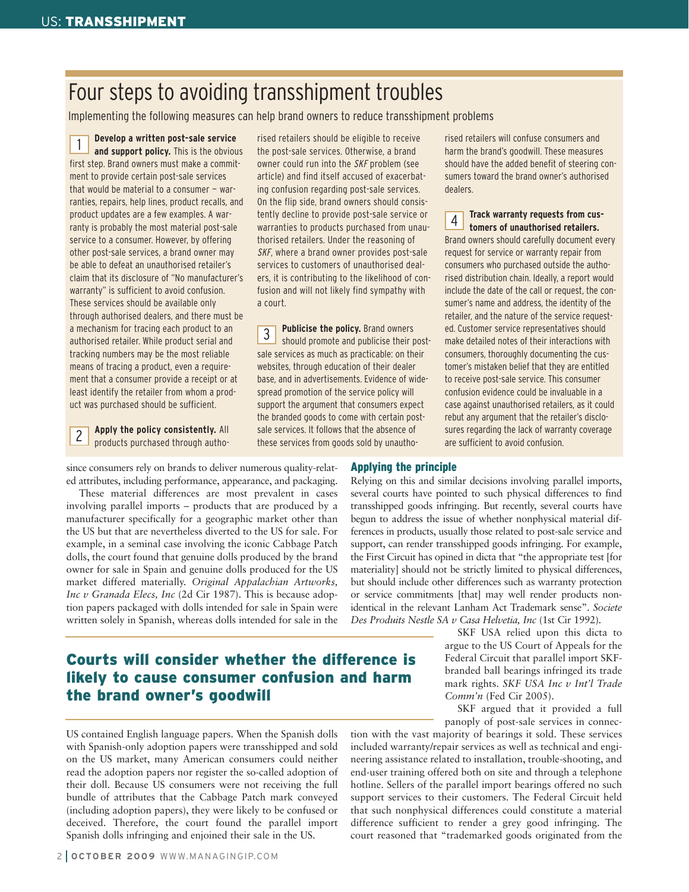# Four steps to avoiding transshipment troubles

Implementing the following measures can help brand owners to reduce transshipment problems

**Develop a written post-sale service and support policy.** This is the obvious first step. Brand owners must make a commitment to provide certain post-sale services that would be material to a consumer – warranties, repairs, help lines, product recalls, and product updates are a few examples. A warranty is probably the most material post-sale service to a consumer. However, by offering other post-sale services, a brand owner may be able to defeat an unauthorised retailer's claim that its disclosure of "No manufacturer's warranty" is sufficient to avoid confusion. These services should be available only through authorised dealers, and there must be a mechanism for tracing each product to an authorised retailer. While product serial and tracking numbers may be the most reliable means of tracing a product, even a requirement that a consumer provide a receipt or at least identify the retailer from whom a product was purchased should be sufficient. 1

**Apply the policy consistently.** All products purchased through autho-2

rised retailers should be eligible to receive the post-sale services. Otherwise, a brand owner could run into the SKF problem (see article) and find itself accused of exacerbating confusion regarding post-sale services. On the flip side, brand owners should consistently decline to provide post-sale service or warranties to products purchased from unauthorised retailers. Under the reasoning of SKF, where a brand owner provides post-sale services to customers of unauthorised dealers, it is contributing to the likelihood of confusion and will not likely find sympathy with a court.

**Publicise the policy.** Brand owners should promote and publicise their postsale services as much as practicable: on their websites, through education of their dealer base, and in advertisements. Evidence of widespread promotion of the service policy will support the argument that consumers expect the branded goods to come with certain postsale services. It follows that the absence of these services from goods sold by unautho-3

rised retailers will confuse consumers and harm the brand's goodwill. These measures should have the added benefit of steering consumers toward the brand owner's authorised dealers.

**Track warranty requests from customers of unauthorised retailers.** Brand owners should carefully document every request for service or warranty repair from consumers who purchased outside the authorised distribution chain. Ideally, a report would include the date of the call or request, the consumer's name and address, the identity of the retailer, and the nature of the service requested. Customer service representatives should make detailed notes of their interactions with consumers, thoroughly documenting the customer's mistaken belief that they are entitled to receive post-sale service. This consumer confusion evidence could be invaluable in a case against unauthorised retailers, as it could rebut any argument that the retailer's disclosures regarding the lack of warranty coverage are sufficient to avoid confusion. 4

since consumers rely on brands to deliver numerous quality-related attributes, including performance, appearance, and packaging.

These material differences are most prevalent in cases involving parallel imports – products that are produced by a manufacturer specifically for a geographic market other than the US but that are nevertheless diverted to the US for sale. For example, in a seminal case involving the iconic Cabbage Patch dolls, the court found that genuine dolls produced by the brand owner for sale in Spain and genuine dolls produced for the US market differed materially. *Original Appalachian Artworks, Inc v Granada Elecs, Inc* (2d Cir 1987). This is because adoption papers packaged with dolls intended for sale in Spain were written solely in Spanish, whereas dolls intended for sale in the

### Courts will consider whether the difference is likely to cause consumer confusion and harm the brand owner's goodwill

US contained English language papers. When the Spanish dolls with Spanish-only adoption papers were transshipped and sold on the US market, many American consumers could neither read the adoption papers nor register the so-called adoption of their doll. Because US consumers were not receiving the full bundle of attributes that the Cabbage Patch mark conveyed (including adoption papers), they were likely to be confused or deceived. Therefore, the court found the parallel import Spanish dolls infringing and enjoined their sale in the US.

### Applying the principle

Relying on this and similar decisions involving parallel imports, several courts have pointed to such physical differences to find transshipped goods infringing. But recently, several courts have begun to address the issue of whether nonphysical material differences in products, usually those related to post-sale service and support, can render transshipped goods infringing. For example, the First Circuit has opined in dicta that "the appropriate test [for materiality] should not be strictly limited to physical differences, but should include other differences such as warranty protection or service commitments [that] may well render products nonidentical in the relevant Lanham Act Trademark sense". *Societe Des Produits Nestle SA v Casa Helvetia, Inc* (1st Cir 1992).

> SKF USA relied upon this dicta to argue to the US Court of Appeals for the Federal Circuit that parallel import SKFbranded ball bearings infringed its trade mark rights. *SKF USA Inc v Int'l Trade Comm'n* (Fed Cir 2005).

> SKF argued that it provided a full panoply of post-sale services in connec-

tion with the vast majority of bearings it sold. These services included warranty/repair services as well as technical and engineering assistance related to installation, trouble-shooting, and end-user training offered both on site and through a telephone hotline. Sellers of the parallel import bearings offered no such support services to their customers. The Federal Circuit held that such nonphysical differences could constitute a material difference sufficient to render a grey good infringing. The court reasoned that "trademarked goods originated from the